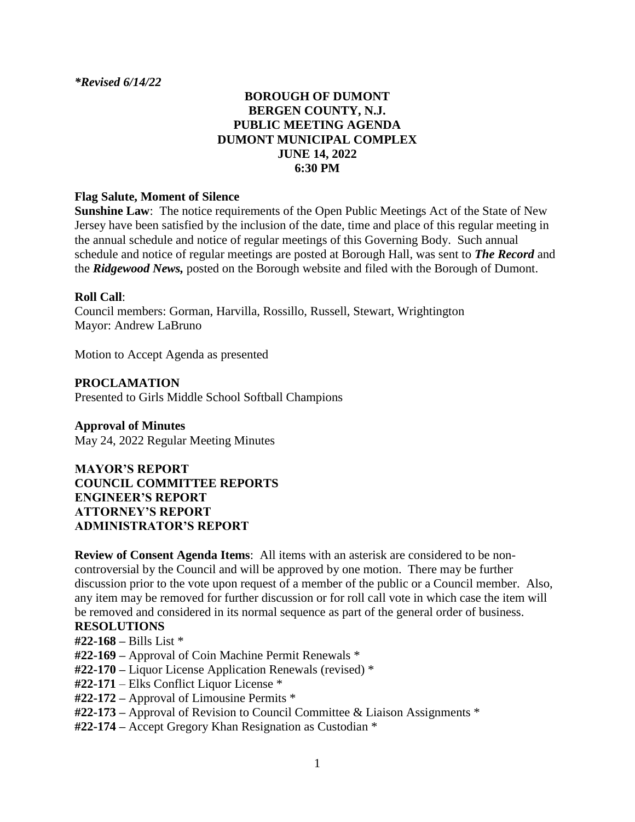*\*Revised 6/14/22*

#### **BOROUGH OF DUMONT BERGEN COUNTY, N.J. PUBLIC MEETING AGENDA DUMONT MUNICIPAL COMPLEX JUNE 14, 2022 6:30 PM**

#### **Flag Salute, Moment of Silence**

**Sunshine Law**: The notice requirements of the Open Public Meetings Act of the State of New Jersey have been satisfied by the inclusion of the date, time and place of this regular meeting in the annual schedule and notice of regular meetings of this Governing Body. Such annual schedule and notice of regular meetings are posted at Borough Hall, was sent to *The Record* and the *Ridgewood News,* posted on the Borough website and filed with the Borough of Dumont.

#### **Roll Call**:

Council members: Gorman, Harvilla, Rossillo, Russell, Stewart, Wrightington Mayor: Andrew LaBruno

Motion to Accept Agenda as presented

**PROCLAMATION** Presented to Girls Middle School Softball Champions

**Approval of Minutes** May 24, 2022 Regular Meeting Minutes

**MAYOR'S REPORT COUNCIL COMMITTEE REPORTS ENGINEER'S REPORT ATTORNEY'S REPORT ADMINISTRATOR'S REPORT**

**Review of Consent Agenda Items**: All items with an asterisk are considered to be noncontroversial by the Council and will be approved by one motion. There may be further discussion prior to the vote upon request of a member of the public or a Council member. Also, any item may be removed for further discussion or for roll call vote in which case the item will be removed and considered in its normal sequence as part of the general order of business.

#### **RESOLUTIONS**

- **#22-168 –** Bills List \*
- **#22-169 –** Approval of Coin Machine Permit Renewals \*
- **#22-170 –** Liquor License Application Renewals (revised) \*
- **#22-171** Elks Conflict Liquor License \*
- **#22-172 –** Approval of Limousine Permits \*
- **#22-173 –** Approval of Revision to Council Committee & Liaison Assignments \*
- **#22-174 –** Accept Gregory Khan Resignation as Custodian \*